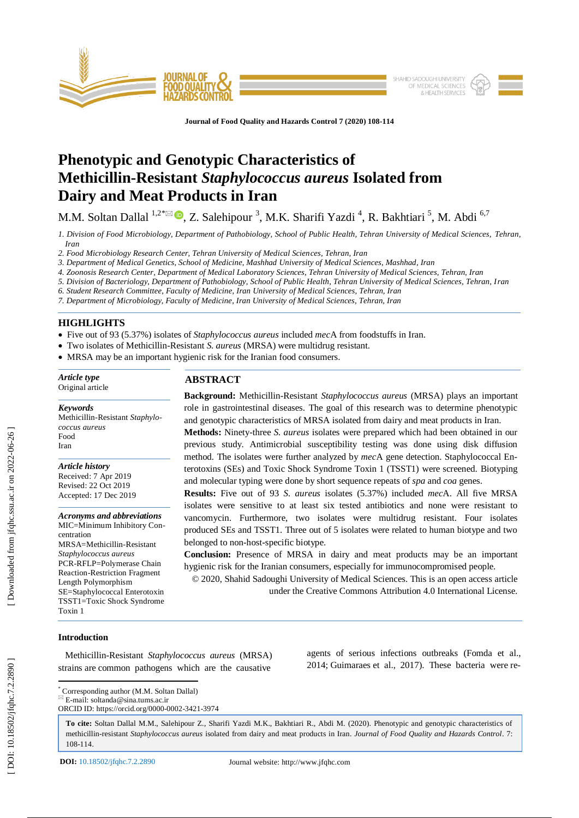

**Journal of Food Quality and Hazards Control 7 (2020) 108 -114**

# **Phenotypic and Genotypic Characteristics of Methicillin -Resistant** *Staphylococcus aureus* **Isolated from Dairy and Meat Products in Iran**

M.M. Soltan Dallal <sup>1,2\*⊠</sup> ®, Z. Salehipour <sup>3</sup>, M.K. Sharifi Yazdi <sup>4</sup>, R. Bakhtiari <sup>5</sup>, M. Abdi <sup>6,7</sup>

*1. Division of Food Microbiology, Department of Pathobiology, School of Public Health, Tehran University of Medical Sciences, Tehran, Iran*

*2. Food Microbiology Research Center, Tehran University of Medical Sciences, Tehran, Iran*

*3. Department of Medical Genetics, School of Medicine, Mashhad University of Medical Sciences, Mashhad, Iran*

*4. Zoonosis Research Center, Department of Medical Laboratory Sciences, Tehran University of Medical Sciences, Tehran, Iran*

*5. Division of Bacteriology, Department of Pathobiology, School of Public Health, Tehran University of Medical Sciences, Tehran, Iran*

*6. Student Research Committee, Faculty of Medicine, Iran University of Medical Sciences, Tehran, Iran*

*7. Department of Microbiology, Faculty of Medicine, Iran University of Medical Sciences, Tehran, Iran*

# **HIGHLIGHTS**

- Five out of 93 (5.37%) isolates of *Staphylococcus aureus* included *mec*A from foodstuffs in Iran.
- Two isolates of Methicillin-Resistant *S. aureus* (MRSA) were multidrug resistant.
- MRSA may be an important hygienic risk for the Iranian food consumers.

#### *Article type* Original article

*Keywords*

Methicillin -Resistant *Staphylococcus aureus* Food Iran

*Article history* Received: 7 Apr 2019 Revised: 22 Oct 2019 Accepted: 17 Dec 2019

*Acronyms and abbreviations* MIC=Minimum Inhibitory Concentration MRSA=Methicillin -Resistant *Staphylococcus aureus* PCR -RFLP=Polymerase Chain Reaction -Restriction Fragment Length Polymorphism SE=Staphylococcal Enterotoxin TSST1=Toxic Shock Syndrome Toxin 1

# **ABSTRACT**

**Background:** Methicillin -Resistant *Staphylococcus aureus* (MRSA) plays an important role in gastrointestinal diseases. The goal of this research was to determine phenotypic and genotypic characteristics of MRSA isolated from dairy and meat products in Iran.

**Methods:** Ninety -three *S. aureus* isolates were prepared which had been obtained in our previous study. Antimicrobial susceptibility testing was done using disk diffusion method. The isolates were further analyzed by *mec*A gene detection. Staphylococcal Enterotoxins (SEs) and Toxic Shock Syndrome Toxin 1 (TSST1) were screened. Biotyping and molecular typing were done by short sequence repeats of *spa* and *coa* genes.

**Results:** Five out of 93 *S. aureus* isolates (5.37%) included *mec*A. All five MRSA isolates were sensitive to at least six tested antibiotics and none were resistant to vancomycin. Furthermore, two isolates were multidrug resistant. Four isolates produced SEs and TSST1. Three out of 5 isolates were related to human biotype and two belonged to non -host -specific biotype.

**Conclusion:** Presence of MRSA in dairy and meat products may be an important hygienic risk for the Iranian consumers, especially for immunocompromised people.

© 2020, Shahid Sadoughi University of Medical Sciences. This is an open access article under the Creative Commons Attribution 4.0 International License.

# **Introduction**

 Methicillin -Resistant *Staphylococcus aureus* (MRSA) strains are common pathogens which are the causative

agents of serious infections outbreaks (Fomda et al., 2014; Guimaraes et al., 2017 ). These bacteria were re -

 $\overline{\mathbb{E}}$  E-mail: soltanda@sina.tums.ac.ir ORCID ID: https://orcid.org/0000 -0002 -3421 -3974

**To cite:** Soltan Dallal M.M., Salehipour Z., Sharifi Yazdi M.K., Bakhtiari R., Abdi M. (2020). Phenotypic and genotypic characteristics of methicillin -resistant *Staphylococcus aureus* isolated from dairy and meat products in Iran. *Journal of Food Quality and Hazards Control*. 7: 108 -114 .

\* Corresponding author (M.M. Soltan Dallal)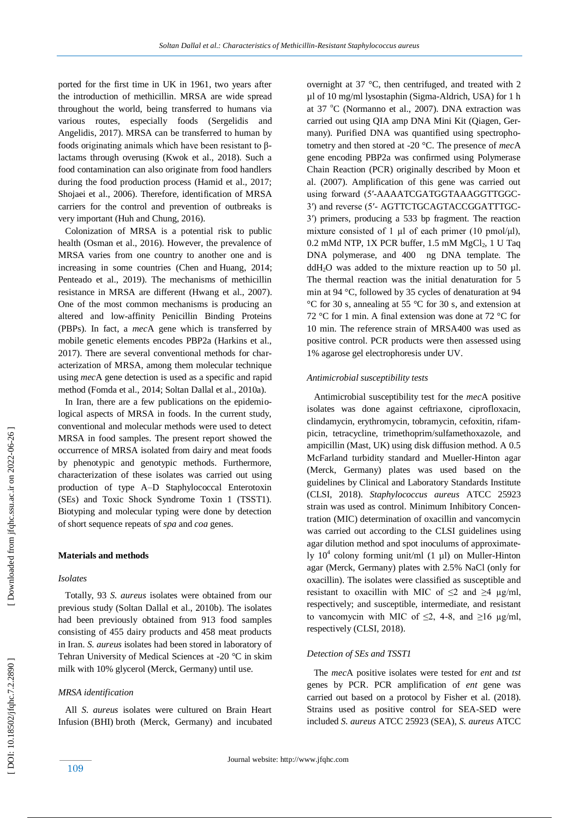ported for the first time in UK in 1961, two years after the introduction of methicillin. MRSA are wide spread throughout the world, being transferred to humans via various routes, especially foods [\(Sergelidis and](https://www.ncbi.nlm.nih.gov/pubmed/?term=Sergelidis%20D%5BAuthor%5D&cauthor=true&cauthor_uid=28304109) Angelidis, 2017). MRSA can be transferred to human by foods originating animals which have been resistant to β lactams through overusing (Kwok et al., 2018). Such a food contamination can also originate from food handlers during the food production process (Hamid et al., 2017; Shojaei et al., 2006). Therefore, identification of MRSA carriers for the control and prevention of outbreaks is very important (Huh and Chung, 2016).

 Colonization of MRSA is a potential risk to public health (Osman et al., 2016). However, the prevalence of MRSA varies from one country to another one and is increasing in some countries [\(Chen a](https://www.ncbi.nlm.nih.gov/pubmed/?term=Chen%20CJ%5BAuthor%5D&cauthor=true&cauthor_uid=24888414)nd [Huang,](https://www.ncbi.nlm.nih.gov/pubmed/?term=Huang%20YC%5BAuthor%5D&cauthor=true&cauthor_uid=24888414) 2014 [;](https://www.ncbi.nlm.nih.gov/pubmed/?term=Huang%20YC%5BAuthor%5D&cauthor=true&cauthor_uid=24888414) Penteado et al., 2019). The mechanisms of methicillin resistance in MRSA are different (Hwang et al., 2007). One of the most common mechanisms is producing an altered and low -affinity Penicillin Binding Proteins (PBPs). In fact, a *mec* A gene which is transferred by mobile genetic elements encodes PBP2a (Harkins et al., 2017). There are several conventional methods for characterization of MRSA, among them molecular technique using *mec*A gene detection is used as a specific and rapid method (Fomda et al., 2014; Soltan Dallal et al., 2010a).

 In Iran, there are a few publications on the epidemiological aspects of MRSA in foods. In the current study, conventional and molecular methods were used to detect MRSA in food samples. The present report showed the occurrence of MRSA isolated from dairy and meat foods by phenotypic and genotypic methods. Furthermore, characterization of these isolates was carried out using production of type A –D Staphylococcal Enterotoxin (SEs) and Toxic Shock Syndrome Toxin 1 (TSST1). Biotyping and molecular typing were done by detection of short sequence repeats of *spa* and *coa* genes.

### **Materials and methods**

#### *Isolates*

 Totally, 93 *S. aureus* isolates were obtained from our previous study (Soltan Dallal et al., 2010b). The isolates had been previously obtained from 913 food samples consisting of 455 dairy products and 458 meat products in Iran. *S. aureus* isolates had been stored in laboratory of Tehran University of Medical Sciences at -20 °C in skim milk with 10% glycerol (Merck, Germany) until use.

#### *MRSA identification*

 All *S. aureus* isolates were cultured on Brain Heart Infusion (BHI) broth (Merck, Germany) and incubated overnight at 37 °C, then centrifuged , and treated with 2 µl of 10 mg/ml lysostaphin (Sigma -Aldrich, USA) for 1 h at 37 °C (Normanno et al., 2007). DNA extraction was carried out using QIA amp DNA Mini Kit (Qiagen, Germany). Purified DNA was quantified using spectrophotometry and then stored at -20 °C. The presence of *mec*A gene encoding PBP2a was confirmed using Polymerase Chain Reaction (PCR) originally described by Moon et al. (2007). Amplification of this gene was carried out using forward (5′ -AAAATCGATGGTAAAGGTTGGC - 3′) and reverse (5′ - AGTTCTGCAGTACCGGATTTGC - 3′) primers, producing a 533 bp fragment. The reaction mixture consisted of 1  $\mu$ l of each primer (10 pmol/ $\mu$ l), 0.2 mMd NTP, 1X PCR buffer, 1.5 mM MgCl <sup>2</sup>, 1 U Taq DNA polymerase, and 400 ng DNA template. The  $ddH<sub>2</sub>O$  was added to the mixture reaction up to 50 µl. The thermal reaction was the initial denaturation for 5 min at 94 °C, followed by 35 cycles of denaturation at 94 °C for 30 s, annealing at 55 °C for 30 s, and extension at 72 °C for 1 min. A final extension was done at 72 °C for 10 min. The reference strain of MRSA400 was used as positive control. PCR products were then assessed using 1% agarose gel electrophoresis under UV.

# *Antimicrobial susceptibility tests*

 Antimicrobial susceptibility test for the *mec*A positive isolates was done against ceftriaxone, ciprofloxacin, clindamycin, erythromycin, tobramycin, cefoxitin, rifampicin, tetracycline, trimethoprim/sulfamethoxazole, and ampicillin (Mast, UK) using disk diffusion method. A 0.5 McFarland turbidity standard and Mueller -Hinton agar (Merck, Germany) plates was used based on the guidelines by Clinical and Laboratory Standards Institute (CLSI, 2018). *Staphylococcus aureus* ATCC 25923 strain was used as control. Minimum Inhibitory Concentration (MIC) determination of oxacillin and vancomycin was carried out according to the CLSI guidelines using agar dilution method and spot inoculums of approximately  $10^4$  colony forming unit/ml  $(1 \mu l)$  on Muller-Hinton agar (Merck, Germany) plates with 2.5% NaCl (only for oxacillin). The isolates were classified as susceptible and resistant to oxacillin with MIC of  $\leq 2$  and  $\geq 4$  ug/ml, respectively; and susceptible, intermediate, and resistant to vancomycin with MIC of  $\leq$ 2, 4-8, and  $\geq$ 16  $\mu$ g/ml, respectively (CLSI, 2018).

#### *Detection of SEs and TSST1*

 The *mec*A positive isolates were tested for *ent* and *tst* genes by PCR. PCR amplification of *ent* gene was carried out based on a protocol by Fisher et al. (2018). Strains used as positive control for SEA -SED were included *S. aureus* ATCC 25923 (SEA), *S. aureus* ATCC

[Downloaded from jfqhc.ssu.ac.ir on 2022-06-26]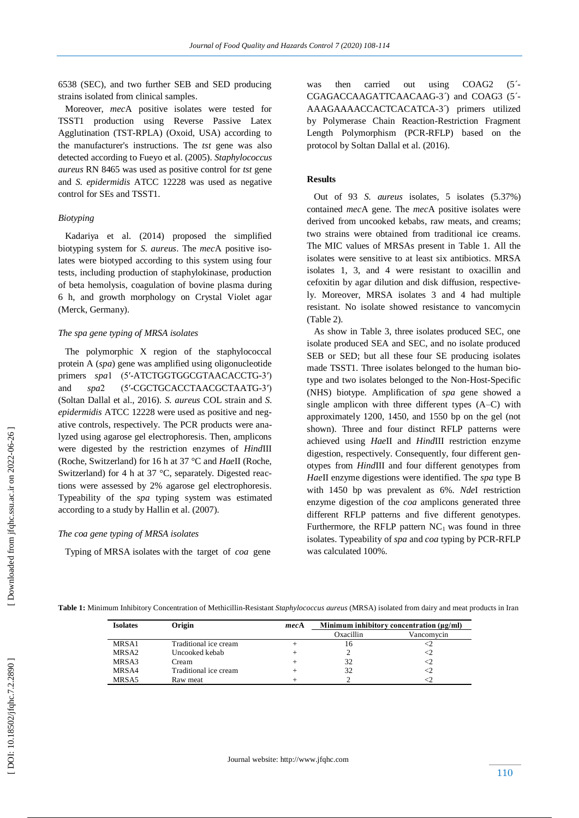6538 (SEC), and two further SEB and SED producing strains isolated from clinical samples.

 Moreover, *mec*A positive isolates were tested for TSST1 production using Reverse Passive Latex Agglutination (TST -RPLA) (Oxoid, USA) according to the manufacturer's instructions. The *tst* gene was also detected according to Fueyo et al. (2005). *Staphylococcus aureus* RN 8465 was used as positive control for *tst* gene and *S. epidermidis* ATCC 12228 was used as negative control for SEs and TSST1.

# *Biotyping*

 Kadariya et al. (2014) proposed the simplified biotyping system for *S. aureus*. The *mec*A positive isolates were biotyped according to this system using four tests, including production of staphylokinase, production of beta hemolysis, coagulation of bovine plasma during 6 h, and growth morphology on Crystal Violet agar (Merck, Germany).

#### *The spa gene typing of MRSA isolates*

 The polymorphic X region of the staphylococcal protein A (*spa*) gene was amplified using oligonucleotide primers spa1 (5'-ATCTGGTGGCGTAACACCTG-3') and *spa*2 -CGCTGCACCTAACGCTAATG -3′) (Soltan Dallal et al., 2016). *S. aureus* COL strain and *S. epidermidis* ATCC 12228 were used as positive and negative controls, respectively. The PCR products were analyzed using agarose gel electrophoresis. Then, amplicons were digested by the restriction enzymes of *Hind*III (Roche, Switzerland) for 16 h at 37 °C and *Hae*II (Roche, Switzerland) for 4 h at 37 °C, separately. Digested reactions were assessed by 2% agarose gel electrophoresis. Typeability of the *spa* typing system was estimated according to a study by Hallin et al. (2007).

#### *The coa gene typing of MRSA isolates*

Typing of MRSA isolates with the target of *coa* gene

was then carried out using COAG2  $(5^{\degree}$ CGAGACCAAGATTCAACAAG-3^) and COAG3 (5<sup>2</sup> AAAGAAAACCACTCACATCA -3´) primers utilized by Polymerase Chain Reaction -Restriction Fragment Length Polymorphism (PCR -RFLP) based on the protocol by Soltan Dallal et al. (2016).

# **Results**

 Out of 93 *S. aureus* isolates, 5 isolates (5.37%) contained *mec*A gene. The *mec*A positive isolates were derived from uncooked kebabs, raw meats, and creams; two strains were obtained from traditional ice creams. The MIC values of MRSAs present in Table 1. All the isolates were sensitive to at least six antibiotics. MRSA isolates 1, 3, and 4 were resistant to oxacillin and cefoxitin by agar dilution and disk diffusion, respectively. Moreover, MRSA isolates 3 and 4 had multiple resistant. No isolate showed resistance to vancomycin (Table 2).

 As show in Table 3, three isolates produced SEC, one isolate produced SEA and SEC, and no isolate produced SEB or SED; but all these four SE producing isolates made TSST1. Three isolates belonged to the human biotype and two isolates belonged to the Non-Host-Specific (NHS) biotype. Amplification of *spa* gene showed a single amplicon with three different types (A –C) with approximately 1200, 1450, and 1550 bp on the gel (not shown). Three and four distinct RFLP patterns were achieved using *Hae*II and *Hind*III restriction enzyme digestion, respectively. Consequently, four different genotypes from *Hind*III and four different genotypes from *Hae*II enzyme digestions were identified. The *spa* type B with 1450 bp was prevalent as 6%. *Nde*I restriction enzyme digestion of the *coa* amplicons generated three different RFLP patterns and five different genotypes. Furthermore, the RFLP pattern  $NC_1$  was found in three isolates. Typeability of *spa* and *coa* typing by PCR -RFLP was calculated 100%.

| Table 1: Minimum Inhibitory Concentration of Methicillin-Resistant Staphylococcus aureus (MRSA) isolated from dairy and meat products in Iran |  |  |  |
|-----------------------------------------------------------------------------------------------------------------------------------------------|--|--|--|
|                                                                                                                                               |  |  |  |

| <b>Isolates</b>   | Origin                | mecA | Minimum inhibitory concentration $(\mu g/ml)$ |            |  |
|-------------------|-----------------------|------|-----------------------------------------------|------------|--|
|                   |                       |      | Oxacillin                                     | Vancomvcin |  |
| MRSA1             | Traditional ice cream |      | 16                                            |            |  |
| MRSA <sub>2</sub> | Uncooked kebab        |      |                                               | <2         |  |
| MRSA3             | Cream                 |      | 32                                            | <2         |  |
| MRSA4             | Traditional ice cream |      | 32                                            | <2         |  |
| MRSA5             | Raw meat              |      |                                               |            |  |
|                   |                       |      |                                               |            |  |

[Downloaded from jfqhc.ssu.ac.ir on 2022-06-26]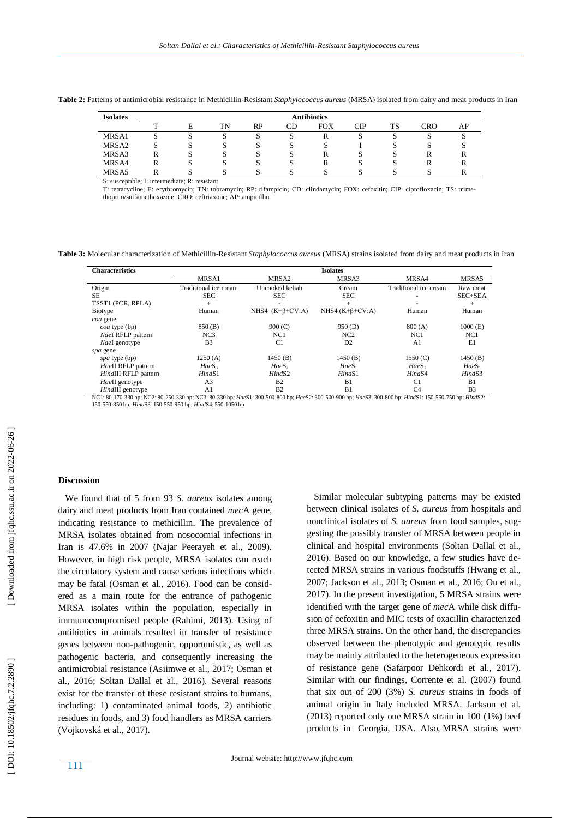| Table 2: Patterns of antimicrobial resistance in Methicillin-Resistant Staphylococcus aureus (MRSA) isolated from dairy and meat products in Iran |  |
|---------------------------------------------------------------------------------------------------------------------------------------------------|--|
|---------------------------------------------------------------------------------------------------------------------------------------------------|--|

| <b>Isolates</b>   | <b>Antibiotics</b> |    |    |    |    |            |     |    |     |    |
|-------------------|--------------------|----|----|----|----|------------|-----|----|-----|----|
|                   | m                  | E  | TN | RP | CD | <b>FOX</b> | CIP | TS | CRO | AP |
| MRSA1             | ມ                  | ມ  | د  | د، | د، | R          | v.  | د، | د   |    |
| MRSA <sub>2</sub> | ມ                  | ື  | د، | د، | ω  | C.         |     | د، | د   | ື  |
| MRSA3             | л                  | ມ  | C  | C. | M  | R          | P   | د، | R   |    |
| MRSA4             | ĸ                  | ٠J | C  | C  | C  | R          | C.  | د، | л   |    |
| MRSA5             |                    |    | ъJ | M. |    |            |     |    | ັ   |    |

S: susceptible; I: intermediate; R: resistant

T: tetracycline; E: erythromycin; TN: tobramycin; RP: rifampicin; CD: clindamycin; FOX: cefoxitin; CIP: ciprofloxacin; TS: trimethoprim/sulfamethoxazole; CRO: ceftriaxone; AP: ampicillin

**Table 3:** Molecular characterization of Methicillin -Resistant *Staphylococcus aureus* (MRSA) strains isolated from dairy and meat products in Iran

| <b>Characteristics</b>  | <b>Isolates</b>       |                       |                       |                       |                    |  |  |
|-------------------------|-----------------------|-----------------------|-----------------------|-----------------------|--------------------|--|--|
|                         | MRSA1                 | MRSA <sub>2</sub>     | MRSA3                 | MRSA4                 | MRSA5              |  |  |
| Origin                  | Traditional ice cream | Uncooked kebab        | Cream                 | Traditional ice cream | Raw meat           |  |  |
| SE.                     | <b>SEC</b>            | <b>SEC</b>            | <b>SEC</b>            |                       | SEC+SEA            |  |  |
| TSST1 (PCR, RPLA)       | $^{+}$                |                       | $^{+}$                |                       | $^{+}$             |  |  |
| Biotype                 | Human                 | NHS4 $(K+\beta+CV:A)$ | NHS4 $(K+\beta+CV:A)$ | Human                 | Human              |  |  |
| coa gene                |                       |                       |                       |                       |                    |  |  |
| <i>coa</i> type (bp)    | 850(B)                | 900(C)                | 950(D)                | 800(A)                | $1000$ (E)         |  |  |
| NdeI RFLP pattern       | NC3                   | NC1                   | NC <sub>2</sub>       | NC1                   | NC1                |  |  |
| NdeI genotype           | B <sub>3</sub>        | C <sub>1</sub>        | D <sub>2</sub>        | A <sub>1</sub>        | E1                 |  |  |
| spa gene                |                       |                       |                       |                       |                    |  |  |
| spa type (bp)           | 1250(A)               | 1450(B)               | 1450(B)               | 1550(C)               | 1450(B)            |  |  |
| HaeII RFLP pattern      | HaeS <sub>3</sub>     | HaeS <sub>2</sub>     | HaeS <sub>1</sub>     | HaeS <sub>1</sub>     | HaeS <sub>1</sub>  |  |  |
| HindIII RFLP pattern    | HindS1                | Hind <sub>S2</sub>    | HindS1                | Hind <sub>S4</sub>    | Hind <sub>S3</sub> |  |  |
| HaeII genotype          | A <sub>3</sub>        | B <sub>2</sub>        | B1                    | C1                    | B1                 |  |  |
| <i>HindIII</i> genotype | A1                    | B <sub>2</sub>        | B1                    | C <sub>4</sub>        | B <sub>3</sub>     |  |  |

*HindIII* genotype *A1* B2 B1 C4 B3<br>NC1: 80-170-330 bp; NC2: 80-250-330 bp; NC3: 80-330 bp; *HaeS1*: 300-500-800 bp; *HaeS2*: 300-500-900 bp; *HaeS3*: 300-800 bp; *HindS1*: 150-550-750 bp; *HindS2*: 150-550-750 bp; *HindS2* 

#### **Discussion**

 We found that of 5 from 93 *S. aureus* isolates among dairy and meat products from Iran contained *mec*A gene, indicating resistance to methicillin. The prevalence of MRSA isolates obtained from nosocomial infections in Iran is 47.6% in 2007 (Najar Peerayeh et al., 2009). However, in high risk people, MRSA isolates can reach the circulatory system and cause serious infections which may be fatal (Osman et al., 2016). Food can be considered as a main route for the entrance of pathogenic MRSA isolates within the population, especially in immunocompromised people (Rahimi, 2013). Using of antibiotics in animals resulted in transfer of resistance genes between non -pathogenic, opportunistic, as well as pathogenic bacteria , and consequently increasing the antimicrobial resistance (Asiimwe et al., 2017; Osman et al., 2016; Soltan Dallal et al., 2016). Several reasons exist for the transfer of these resistant strains to humans, including: 1) contaminated animal foods, 2) antibiotic residues in foods, and 3) food handlers as MRSA carriers (Vojkovská et al., 2017).

Similar molecular subtyping patterns may be existed between clinical isolates of *S. aureus* from hospitals and nonclinical isolates of *S. aureus* from food samples , suggesting the possibly transfer of MRSA between people in clinical and hospital environments (Soltan Dallal et al., 2016). Based on our knowledge, a few studies have detected MRSA strains in various foodstuffs (Hwang et al., 2007; [Jackson](http://jcm.asm.org/search?author1=Charlene+R.+Jackson&sortspec=date&submit=Submit) et al., 2013; Osman et al., 2016; Ou et al., 2017). In the present investigation, 5 MRSA strains were identified with the target gene of *mec*A while disk diffusion of cefoxitin and MIC tests of oxacillin characterized three MRSA strains. On the other hand, the discrepancies observed between the phenotypic and genotypic results may be mainly attributed to the heterogeneous expression of resistance gene (Safarpoor Dehkordi et al., 2017). Si milar with our findings, Corrente et al. (2007) found that six out of 200 (3%) *S. aureus* strains in foods of animal origin in Italy included MRSA. [Jackson](https://www.ncbi.nlm.nih.gov/pubmed/?term=Jackson%20CR%5BAuthor%5D&cauthor=true&cauthor_uid=23363837) et al *.* (2013) reported only one MRSA strain in 100 (1%) beef products in Georgia, USA. Also, MRSA strains were

111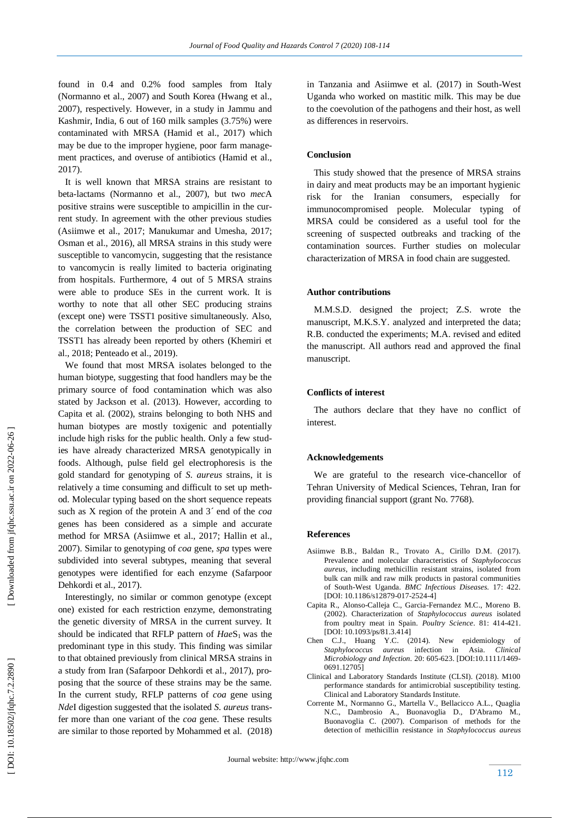found in 0.4 and 0.2% food samples from Italy (Normanno et al., 2007) and South Korea (Hwang et al., 2007), respectively. However, in a study in Jammu and Kashmir, India, 6 out of 160 milk samples (3.75%) were contaminated with MRSA [\(Hamid](https://www.ncbi.nlm.nih.gov/pubmed/?term=Hamid%20S%5BAuthor%5D&cauthor=true&cauthor_uid=28435202) et al., 2017) which may be due to the improper hygiene, poor farm management practices, and overuse of antibiotics [\(Hamid](https://www.ncbi.nlm.nih.gov/pubmed/?term=Hamid%20S%5BAuthor%5D&cauthor=true&cauthor_uid=28435202) et al., 2017).

 It is well known that MRSA strains are resistant to beta -lactams (Normanno et al., 2007), but two *mec*A positive strains were susceptible to ampicillin in the current study. In agreement with the other previous studies (Asiimwe et al., 2017; Manukumar and Umesha, 2017; Osman et al., 2016), all MRSA strains in this study were susceptible to vancomycin , suggesting that the resistance to vancomycin is really limited to bacteria originating from hospitals. Furthermore, 4 out of 5 MRSA strains were able to produce SEs in the current work. It is worthy to note that all other SEC producing strains (except one) were TSST1 positive simultaneously. Also, the correlation between the production of SEC and TSST1 has already been reported by others (Khemiri et al., 2018; Penteado et al., 2019).

 We found that most MRSA isolates belonged to the human biotype, suggesting that food handlers may be the primary source of food contamination which was also stated by [Jackson](http://jcm.asm.org/search?author1=Charlene+R.+Jackson&sortspec=date&submit=Submit) et al. (2013). However, according to Capita et al. (2002), strains belonging to both NHS and human biotypes are mostly toxigenic and potentially include high risks for the public health. Only a few studies have already characterized MRSA genotypically in foods. Although, pulse field gel electrophoresis is the gold standard for genotyping of *S. aureus* strains, it is relatively a time consuming and difficult to set up method. Molecular typing based on the short sequence repeats such as X region of the protein A and 3´ end of the *coa* genes has been considered as a simple and accurate method for MRSA (Asiimwe et al., 2017; Hallin et al., 2007). Similar to genotyping of *coa* gene, *spa* types were subdivided into several subtypes, meaning that several genotypes were identified for each enzyme (Safarpoor Dehkordi et al., 2017).

 Interestingly, no similar or common genotype (except one) existed for each restriction enzyme, demonstrating the genetic diversity of MRSA in the current survey. It should be indicated that RFLP pattern of  $HaeS<sub>1</sub>$  was the predominant type in this study. This finding was similar to that obtained previously from clinical MRSA strains in a study from Iran (Safarpoor Dehkordi et al., 2017), proposing that the source of these strains may be the same. In the current study, RFLP patterns of *coa* gene using *Nde*I digestion suggested that the isolated *S. aureus* transfer more than one variant of the *coa* gene. These results are similar to those reported by Mohammed et al. (2018)

in Tanzania and Asiimwe et al. (2017) in South -West Uganda who worked on mastitic milk. This may be due to the coevolution of the pathogens and their host, as well as differences in reservoirs.

# **Conclusion**

 This study showed that the presence of MRSA strains in dairy and meat products may be an important hygienic risk for the Iranian consumers, especially for immunocompromised people. Molecular typing of MRSA could be considered as a useful tool for the screening of suspected outbreaks and tracking of the contamination sources. Further studies on molecular characterization of MRSA in food chain are suggested.

# **Author contributions**

 M.M.S.D . designed the project; Z.S . wrote the manuscript, M.K.S.Y . analyzed and interpreted the data; R.B . conducted the experiments; M.A . revised and edited the manuscript. All authors read and approved the final manuscript.

#### **Conflicts of interest**

 The authors declare that they have no conflict of interest.

### **Acknowledgements**

 We are grateful to the research vice -chancellor of Tehran University of Medical Sciences, Tehran, Iran for providing financial support (grant No. 7768).

### **Reference s**

- Asiimwe B.B., Baldan R., Trovato A., Cirillo D.M. (2017). Prevalence and molecular characteristics of *Staphylococcus aureus*, including methicillin resistant strains, isolated from bulk can milk and raw milk products in pastoral communities of South -West Uganda. *BMC Infectious Diseases.* 17: 422. [DOI: 10.1186/s12879-017-2524-4]
- Capita R., Alonso -Calleja C., Garcia -Fernandez M.C., Moreno B. (2002). Characterization of *Staphylococcus aureus* isolated from poultry meat in Spain. *Poultry Science*. 81: 414 -421. [DOI: 10.1093/ps/81.3.414]
- Chen C.J., Huang Y.C. (2014). New epidemiology of *Staphylococcus aureus* infection in Asia. *Clinical Microbiology and Infection.* 20: 605 -623. [DOI:10.1111/1469 - 0691.12705]
- Clinical and Laboratory Standards Institute (CLSI). (2018). M100 performance standards for antimicrobial susceptibility testing. Clinical and Laboratory Standards Institute.
- Corrente M., Normanno G., Martella V., Bellacicco A.L., Quaglia N.C., Dambrosio A., Buonavoglia D., D'Abramo M., Buonavoglia C. (2007). Comparison of methods for the detection of methicillin resistance in *Staphylococcus aureus*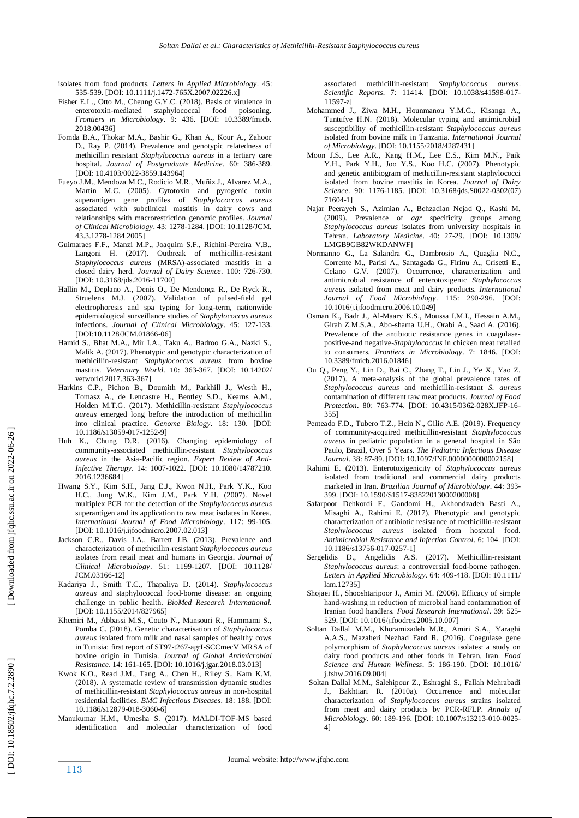- isolates from food products. *Letters in Applied Microbiology*. 45: 535 -539. [DOI: 10.1111/j.1472 -765X.2007.02226.x]
- Fisher E.L., Otto M., Cheung G.Y.C. (2018). Basis of virulence in enterotoxin staphylococcal food poisoning. *Frontiers in Microbiology*. 9: 436. [DOI: 10.3389/fmicb. 2018.00436]
- Fomda B.A., Thokar M.A., Bashir G., Khan A., Kour A., Zahoor D., Ray P. (2014). Prevalence and genotypic relatedness of methicillin resistant *Staphylococcus aureus* in a tertiary care hospital. *Journal of Postgraduate Medicine*. 60: 386 -389. [DOI: 10.4103/0022 -3859.143964]
- Fueyo J.M., Mendoza M.C., Rodicio M.R., Muñiz J., Alvarez M.A., Martín M.C. (2005). Cytotoxin and pyrogenic toxin superantigen gene profiles of *Staphylococcus aureus* associated with subclinical mastitis in dairy cows and relationships with macrorestriction genomic profiles. *Journal of Clinical Microbiology*. 43: 1278 -1284. [DOI: 10.1128/JCM. 43.3.1278 -1284.2005]
- Guimaraes F.F., Manzi M.P., Joaquim S.F., Richini -Pereira V.B., Langoni H. (2017). Outbreak of methicillin-resistant *Staphylococcus aureus* (MRSA) -associated mastitis in a closed dairy herd. *Journal of Dairy Science*. 100: 726 -730. [DOI: 10.3168/jds.2016 -11700]
- Hallin M., Deplano A., Denis O., De Mendonça R., De Ryck R., Struelens M.J. (2007). Validation of pulsed -field gel electrophoresis and spa typing for long -term, nationwide epidemiological surveillance studies of *Staphylococcus aureus* infections. *Journal of Clinical Microbiology*. 45: 127 -133. [DOI:10.1128/JCM.01866-06]
- Hamid S., Bhat M.A., Mir I.A., Taku A., Badroo G.A., Nazki S., Malik A. (2017). Phenotypic and genotypic characterization of methicillin -resistant *Staphylococcus aureus* from bovine mastitis. *Veterinary World*. 10: 363 -367. [DOI: 10.14202/ vetworld.2017.363 -367]
- Harkins C.P., Pichon B., Doumith M., Parkhill J., Westh H., Tomasz A., de Lencastre H., Bentley S.D., Kearns A.M., Holden M.T.G. (2017). Methicillin -resistant *Staphylococcus aureus* emerged long before the introduction of methicillin into clinical practice. *Genome Biology*. 18: 130. [DOI: 10.1186/s13059 -017 -1252 -9]
- Huh K., Chung D.R. (2016). Changing epidemiology of community -associated methicillin -resistant *Staphylococcus aureus* in the Asia -Pacific region. *Expert Review of Anti - Infective Therapy*. 14: 1007 -1022. [DOI: 10.1080/14787210. 2016.1236684]
- Hwang S.Y., Kim S.H., Jang E.J., Kwon N.H., Park Y.K., Koo H.C., Jung W.K., Kim J.M., Park Y.H. (2007). Novel multiplex PCR for the detection of the *Staphylococcus aureus* superantigen and its application to raw meat isolates in Korea. *International Journal of Food Microbiology*. 117: 99 -105. [DOI: 10.1016/j.ijfoodmicro.2007.02.013]
- Jackson C.R., Davis J.A., Barrett J.B. (2013). Prevalence and characterization of methicillin -resistant *Staphylococcus aureus* isolates from retail meat and humans in Georgia. *Journal of Clinical Microbiology*. 51: 1199 -1207. [DOI: 10.1128/ JCM.03166 -12]
- Kadariya J., Smith T.C., Thapaliya D. (2014). *Staphylococcus aureus* and staphylococcal food -borne disease: an ongoing challenge in public health. *BioMed Research International.* [DOI: 10.1155/2014/827965]
- Khemiri M., Abbassi M.S., Couto N., Mansouri R., Hammami S., Pomba C. (2018). Genetic characterisation of *Staphylococcus aureus* isolated from milk and nasal samples of healthy cows in Tunisia: first report of ST97 -t267 -agrI -SCCmecV MRSA of bovine origin in Tunisia. *Journal of Global Antimicrobial Resistance*. 14: 161 -165. [DOI: 10.1016/j.jgar.2018.03.013]
- Kwok K.O., Read J.M., Tang A., Chen H., Riley S., Kam K.M. (2018). A systematic review of transmission dynamic studies of methicillin -resistant *Staphylococcus aureus* in non -hospital residential facilities. *BMC Infectious Diseases*. 18: 188. [DOI: 10.1186/s12879 -018 -3060 -6]
- Manukumar H.M., Umesha S. (2017). MALDI -TOF -MS based identification and molecular characterization of food

associated methicillin -resistant *Staphylococcus aureus*. Scientific Reports. 7: 11414. [DOI: 10.1038/s41598-017-11597 -z]

- Mohammed J., Ziwa M.H., Hounmanou Y.M.G., Kisanga A., Tuntufye H.N. (2018). Molecular typing and antimicrobial susceptibility of methicillin -resistant *Staphylococcus aureus* isolated from bovine milk in Tanzania. *International Journal of Microbiology*. [DOI: 10.1155/2018/4287431]
- Moon J.S., Lee A.R., Kang H.M., Lee E.S., Kim M.N., Paik Y.H., Park Y.H., Joo Y.S., Koo H.C. (2007). Phenotypic and genetic antibiogram of methicillin -resistant staphylococci isolated from bovine mastitis in Korea. *Journal of Dairy*  Science. 90: 1176-1185. [DOI: 10.3168/jds.S0022-0302(07) 71604 -1]
- Najar Peerayeh S., Azimian A., Behzadian Nejad Q., Kashi M. (2009). Prevalence of *agr* specificity groups among *Staphylococcus aureus* isolates from university hospitals in Tehran. *Laboratory Medicine*. 40 : 27 -29. [DOI: 10.1309/ LMGB9GB82WKDANWF]
- Normanno G., La Salandra G., Dambrosio A., Quaglia N.C., Corrente M., Parisi A., Santagada G., Firinu A., Crisetti E., Celano G.V. (2007). Occurrence, characterization and antimicrobial resistance of enterotoxigenic *Staphylococcus aureus* isolated from meat and dairy products. *International Journal of Food Microbiology*. 115: 290 -296. [DOI: 10.1016/j.ijfoodmicro.2006.10.049]
- Osman K., Badr J., Al -Maary K.S., Moussa I.M.I., Hessain A.M., Girah Z.M.S.A., Abo -shama U.H., Orabi A., Saad A. (2016). Prevalence of the antibiotic resistance genes in coagulasepositive -and negative -*Staphylococcus* in chicken meat retailed to consumers. *Frontiers in Microbiology*. 7: 1846. [DOI: 10.3389/fmicb.2016.01846]
- Ou Q., Peng Y., Lin D., Bai C., Zhang T., Lin J., Ye X., Yao Z. (2017). A meta -analysis of the global prevalence rates of *Staphylococcus aureus* and methicillin -resistant *S. aureus* contamination of different raw meat products. *Journal of Food*  Protection. 80: 763-774. [DOI: 10.4315/0362-028X.JFP-16-355]
- Penteado F.D., Tubero T.Z., Hein N., Gilio A.E. (2019). Frequency of community -acquired methicillin -resistant *Staphylococcus aureus* in pediatric population in a general hospital in São Paulo, Brazil, Over 5 Years. *The Pediatric Infectious Disease Journal* . 38: 87 -89. [DOI: 10.1097/INF.0000000000002158]
- Rahimi E. (2013). Enterotoxigenicity of *Staphylococcus aureus* isolated from traditional and commercial dairy products marketed in Iran. *Brazilian Journal of Microbiology*. 44: 393 - 399. [DOI: 10.1590/S1517 -83822013000200008]
- Safarpoor Dehkordi F., Gandomi H., Akhondzadeh Basti A., Misaghi A., Rahimi E. (2017). Phenotypic and genotypic characterization of antibiotic resistance of methicillin -resistant *Staphylococcus aureus* isolated from hospital food. *Antimicrobial Resistance and Infection Control*. 6: 104. [DOI: 10.1186/s13756 -017 -0257 -1]
- Sergelidis D., Angelidis A.S. (2017). Methicillin-resistant *Staphylococcus aureus*: a controversial food -borne pathogen. *Letters in Applied Microbiology*. 64: 409 -418. [DOI: 10.1111/ lam.12735]
- Shojaei H., Shooshtaripoor J., Amiri M. (2006). Efficacy of simple hand -washing in reduction of microbial hand contamination of Iranian food handlers. *Food Research International*. 39: 525 - 529. [DOI: 10.1016/j.foodres.2005.10.007]
- Soltan Dallal M.M., Khoramizadeh M.R., Amiri S.A., Yaraghi A.A.S., Mazaheri Nezhad Fard R. (2016). Coagulase gene polymorphism of *Staphylococcus aureus* isolates: a study on dairy food products and other foods in Tehran, Iran. *Food Science and Human Wellness*. 5: 186-190. [DOI: 10.1016/ j.fshw.2016.09.004]
- Soltan Dallal M.M., Salehipour Z., Eshraghi S., Fallah Mehrabadi J., Bakhtiari R. (2010a). Occurrence and molecular characterization of *Staphylococcus aureus* strains isolated from meat and dairy products by PCR -RFLP. *Annals of*  Microbiology. 60: 189-196. [DOI: 10.1007/s13213-010-0025-4]

[Downloaded from jfqhc.ssu.ac.ir on 2022-06-26]